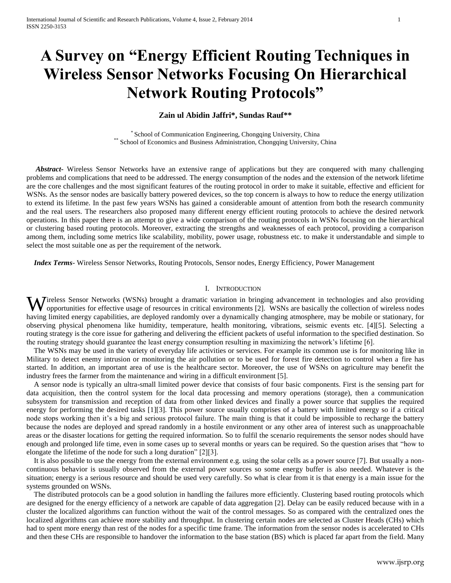# **A Survey on "Energy Efficient Routing Techniques in Wireless Sensor Networks Focusing On Hierarchical Network Routing Protocols"**

## **Zain ul Abidin Jaffri\*, Sundas Rauf\*\***

\* School of Communication Engineering, Chongqing University, China \*\* School of Economics and Business Administration, Chongqing University, China

 *Abstract***-** Wireless Sensor Networks have an extensive range of applications but they are conquered with many challenging problems and complications that need to be addressed. The energy consumption of the nodes and the extension of the network lifetime are the core challenges and the most significant features of the routing protocol in order to make it suitable, effective and efficient for WSNs. As the sensor nodes are basically battery powered devices, so the top concern is always to how to reduce the energy utilization to extend its lifetime. In the past few years WSNs has gained a considerable amount of attention from both the research community and the real users. The researchers also proposed many different energy efficient routing protocols to achieve the desired network operations. In this paper there is an attempt to give a wide comparison of the routing protocols in WSNs focusing on the hierarchical or clustering based routing protocols. Moreover, extracting the strengths and weaknesses of each protocol, providing a comparison among them, including some metrics like scalability, mobility, power usage, robustness etc. to make it understandable and simple to select the most suitable one as per the requirement of the network.

 *Index Terms*- Wireless Sensor Networks, Routing Protocols, Sensor nodes, Energy Efficiency, Power Management

## I. INTRODUCTION

Wireless Sensor Networks (WSNs) brought a dramatic variation in bringing advancement in technologies and also providing opportunities for effective usage of resources in critical environments [2]. WSNs are basically the co opportunities for effective usage of resources in critical environments [2]. WSNs are basically the collection of wireless nodes having limited energy capabilities, are deployed randomly over a dynamically changing atmosphere, may be mobile or stationary, for observing physical phenomena like humidity, temperature, health monitoring, vibrations, seismic events etc. [4][5]. Selecting a routing strategy is the core issue for gathering and delivering the efficient packets of useful information to the specified destination. So the routing strategy should guarantee the least energy consumption resulting in maximizing the network's lifetime [6].

 The WSNs may be used in the variety of everyday life activities or services. For example its common use is for monitoring like in Military to detect enemy intrusion or monitoring the air pollution or to be used for forest fire detection to control when a fire has started. In addition, an important area of use is the healthcare sector. Moreover, the use of WSNs on agriculture may benefit the industry frees the farmer from the maintenance and wiring in a difficult environment [5].

 A sensor node is typically an ultra-small limited power device that consists of four basic components. First is the sensing part for data acquisition, then the control system for the local data processing and memory operations (storage), then a communication subsystem for transmission and reception of data from other linked devices and finally a power source that supplies the required energy for performing the desired tasks [1][3]. This power source usually comprises of a battery with limited energy so if a critical node stops working then it's a big and serious protocol failure. The main thing is that it could be impossible to recharge the battery because the nodes are deployed and spread randomly in a hostile environment or any other area of interest such as unapproachable areas or the disaster locations for getting the required information. So to fulfil the scenario requirements the sensor nodes should have enough and prolonged life time, even in some cases up to several months or years can be required. So the question arises that "how to elongate the lifetime of the node for such a long duration" [2][3].

 It is also possible to use the energy from the external environment e.g. using the solar cells as a power source [7]. But usually a noncontinuous behavior is usually observed from the external power sources so some energy buffer is also needed. Whatever is the situation; energy is a serious resource and should be used very carefully. So what is clear from it is that energy is a main issue for the systems grounded on WSNs.

 The distributed protocols can be a good solution in handling the failures more efficiently. Clustering based routing protocols which are designed for the energy efficiency of a network are capable of data aggregation [2]. Delay can be easily reduced because with in a cluster the localized algorithms can function without the wait of the control messages. So as compared with the centralized ones the localized algorithms can achieve more stability and throughput. In clustering certain nodes are selected as Cluster Heads (CHs) which had to spent more energy than rest of the nodes for a specific time frame. The information from the sensor nodes is accelerated to CHs and then these CHs are responsible to handover the information to the base station (BS) which is placed far apart from the field. Many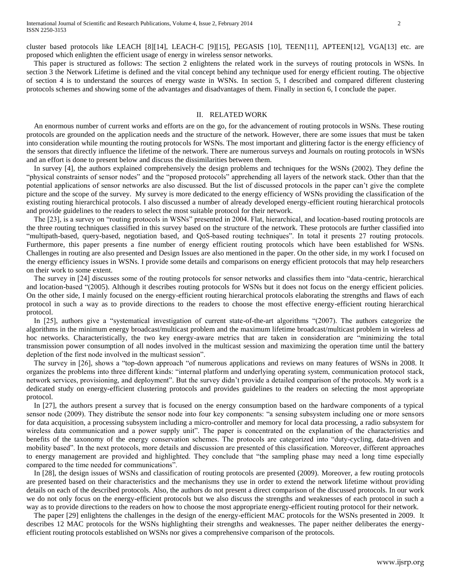cluster based protocols like LEACH [8][14], LEACH-C [9][15], PEGASIS [10], TEEN[11], APTEEN[12], VGA[13] etc. are proposed which enlighten the efficient usage of energy in wireless sensor networks.

 This paper is structured as follows: The section 2 enlightens the related work in the surveys of routing protocols in WSNs. In section 3 the Network Lifetime is defined and the vital concept behind any technique used for energy efficient routing. The objective of section 4 is to understand the sources of energy waste in WSNs. In section 5, I described and compared different clustering protocols schemes and showing some of the advantages and disadvantages of them. Finally in section 6, I conclude the paper.

## II. RELATED WORK

 An enormous number of current works and efforts are on the go, for the advancement of routing protocols in WSNs. These routing protocols are grounded on the application needs and the structure of the network. However, there are some issues that must be taken into consideration while mounting the routing protocols for WSNs. The most important and glittering factor is the energy efficiency of the sensors that directly influence the lifetime of the network. There are numerous surveys and Journals on routing protocols in WSNs and an effort is done to present below and discuss the dissimilarities between them.

 In survey [4], the authors explained comprehensively the design problems and techniques for the WSNs (2002). They define the "physical constraints of sensor nodes" and the "proposed protocols" apprehending all layers of the network stack. Other than that the potential applications of sensor networks are also discussed. But the list of discussed protocols in the paper can't give the complete picture and the scope of the survey. My survey is more dedicated to the energy efficiency of WSNs providing the classification of the existing routing hierarchical protocols. I also discussed a number of already developed energy-efficient routing hierarchical protocols and provide guidelines to the readers to select the most suitable protocol for their network.

 The [23], is a survey on "routing protocols in WSNs" presented in 2004. Flat, hierarchical, and location-based routing protocols are the three routing techniques classified in this survey based on the structure of the network. These protocols are further classified into "multipath-based, query-based, negotiation based, and QoS-based routing techniques". In total it presents 27 routing protocols. Furthermore, this paper presents a fine number of energy efficient routing protocols which have been established for WSNs. Challenges in routing are also presented and Design Issues are also mentioned in the paper. On the other side, in my work I focused on the energy efficiency issues in WSNs. I provide some details and comparisons on energy efficient protocols that may help researchers on their work to some extent.

 The survey in [24] discusses some of the routing protocols for sensor networks and classifies them into "data-centric, hierarchical and location-based "(2005). Although it describes routing protocols for WSNs but it does not focus on the energy efficient policies. On the other side, I mainly focused on the energy-efficient routing hierarchical protocols elaborating the strengths and flaws of each protocol in such a way as to provide directions to the readers to choose the most effective energy-efficient routing hierarchical protocol.

In [25], authors give a "systematical investigation of current state-of-the-art algorithms "(2007). The authors categorize the algorithms in the minimum energy broadcast/multicast problem and the maximum lifetime broadcast/multicast problem in wireless ad hoc networks. Characteristically, the two key energy-aware metrics that are taken in consideration are "minimizing the total transmission power consumption of all nodes involved in the multicast session and maximizing the operation time until the battery depletion of the first node involved in the multicast session".

 The survey in [26], shows a "top-down approach "of numerous applications and reviews on many features of WSNs in 2008. It organizes the problems into three different kinds: "internal platform and underlying operating system, communication protocol stack, network services, provisioning, and deployment". But the survey didn't provide a detailed comparison of the protocols. My work is a dedicated study on energy-efficient clustering protocols and provides guidelines to the readers on selecting the most appropriate protocol.

 In [27], the authors present a survey that is focused on the energy consumption based on the hardware components of a typical sensor node (2009). They distribute the sensor node into four key components: "a sensing subsystem including one or more sensors for data acquisition, a processing subsystem including a micro-controller and memory for local data processing, a radio subsystem for wireless data communication and a power supply unit". The paper is concentrated on the explanation of the characteristics and benefits of the taxonomy of the energy conservation schemes. The protocols are categorized into "duty-cycling, data-driven and mobility based". In the next protocols, more details and discussion are presented of this classification. Moreover, different approaches to energy management are provided and highlighted. They conclude that "the sampling phase may need a long time especially compared to the time needed for communications".

 In [28], the design issues of WSNs and classification of routing protocols are presented (2009). Moreover, a few routing protocols are presented based on their characteristics and the mechanisms they use in order to extend the network lifetime without providing details on each of the described protocols. Also, the authors do not present a direct comparison of the discussed protocols. In our work we do not only focus on the energy-efficient protocols but we also discuss the strengths and weaknesses of each protocol in such a way as to provide directions to the readers on how to choose the most appropriate energy-efficient routing protocol for their network.

 The paper [29] enlightens the challenges in the design of the energy-efficient MAC protocols for the WSNs presented in 2009. It describes 12 MAC protocols for the WSNs highlighting their strengths and weaknesses. The paper neither deliberates the energyefficient routing protocols established on WSNs nor gives a comprehensive comparison of the protocols.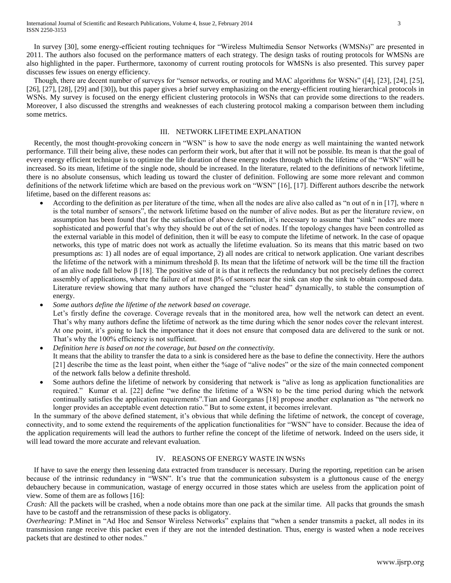In survey [30], some energy-efficient routing techniques for "Wireless Multimedia Sensor Networks (WMSNs)" are presented in 2011. The authors also focused on the performance matters of each strategy. The design tasks of routing protocols for WMSNs are also highlighted in the paper. Furthermore, taxonomy of current routing protocols for WMSNs is also presented. This survey paper discusses few issues on energy efficiency.

 Though, there are decent number of surveys for "sensor networks, or routing and MAC algorithms for WSNs" ([4], [23], [24], [25], [26], [27], [28], [29] and [30]), but this paper gives a brief survey emphasizing on the energy-efficient routing hierarchical protocols in WSNs. My survey is focused on the energy efficient clustering protocols in WSNs that can provide some directions to the readers. Moreover, I also discussed the strengths and weaknesses of each clustering protocol making a comparison between them including some metrics.

## III. NETWORK LIFETIME EXPLANATION

 Recently, the most thought-provoking concern in "WSN" is how to save the node energy as well maintaining the wanted network performance. Till their being alive, these nodes can perform their work, but after that it will not be possible. Its mean is that the goal of every energy efficient technique is to optimize the life duration of these energy nodes through which the lifetime of the "WSN" will be increased. So its mean, lifetime of the single node, should be increased. In the literature, related to the definitions of network lifetime, there is no absolute consensus, which leading us toward the cluster of definition. Following are some more relevant and common definitions of the network lifetime which are based on the previous work on "WSN" [16], [17]. Different authors describe the network lifetime, based on the different reasons as:

 According to the definition as per literature of the time, when all the nodes are alive also called as "n out of n in [17], where n is the total number of sensors", the network lifetime based on the number of alive nodes. But as per the literature review, on assumption has been found that for the satisfaction of above definition, it's necessary to assume that "sink" nodes are more sophisticated and powerful that's why they should be out of the set of nodes. If the topology changes have been controlled as the external variable in this model of definition, then it will be easy to compute the lifetime of network. In the case of opaque networks, this type of matric does not work as actually the lifetime evaluation. So its means that this matric based on two presumptions as: 1) all nodes are of equal importance, 2) all nodes are critical to network application. One variant describes the lifetime of the network with a minimum threshold β. Its mean that the lifetime of network will be the time till the fraction of an alive node fall below β [18]. The positive side of it is that it reflects the redundancy but not precisely defines the correct assembly of applications, where the failure of at most β% of sensors near the sink can stop the sink to obtain composed data. Literature review showing that many authors have changed the "cluster head" dynamically, to stable the consumption of energy.

*Some authors define the lifetime of the network based on coverage.*

Let's firstly define the coverage. Coverage reveals that in the monitored area, how well the network can detect an event. That's why many authors define the lifetime of network as the time during which the senor nodes cover the relevant interest. At one point, it's going to lack the importance that it does not ensure that composed data are delivered to the sunk or not. That's why the 100% efficiency is not sufficient.

- *Definition here is based on not the coverage, but based on the connectivity.* It means that the ability to transfer the data to a sink is considered here as the base to define the connectivity. Here the authors [21] describe the time as the least point, when either the %age of "alive nodes" or the size of the main connected component of the network falls below a definite threshold.
- Some authors define the lifetime of network by considering that network is "alive as long as application functionalities are required." Kumar et al. [22] define "we define the lifetime of a WSN to be the time period during which the network continually satisfies the application requirements".Tian and Georganas [18] propose another explanation as "the network no longer provides an acceptable event detection ratio." But to some extent, it becomes irrelevant.

 In the summary of the above defined statement, it's obvious that while defining the lifetime of network, the concept of coverage, connectivity, and to some extend the requirements of the application functionalities for "WSN" have to consider. Because the idea of the application requirements will lead the authors to further refine the concept of the lifetime of network. Indeed on the users side, it will lead toward the more accurate and relevant evaluation.

# IV. REASONS OF ENERGY WASTE IN WSNS

 If have to save the energy then lessening data extracted from transducer is necessary. During the reporting, repetition can be arisen because of the intrinsic redundancy in "WSN". It's true that the communication subsystem is a gluttonous cause of the energy debauchery because in communication, wastage of energy occurred in those states which are useless from the application point of view. Some of them are as follows [16]:

*Crash:* All the packets will be crashed, when a node obtains more than one pack at the similar time. All packs that grounds the smash have to be castoff and the retransmission of these packs is obligatory.

*Overhearing:* P.Minet in "Ad Hoc and Sensor Wireless Networks" explains that "when a sender transmits a packet, all nodes in its transmission range receive this packet even if they are not the intended destination. Thus, energy is wasted when a node receives packets that are destined to other nodes."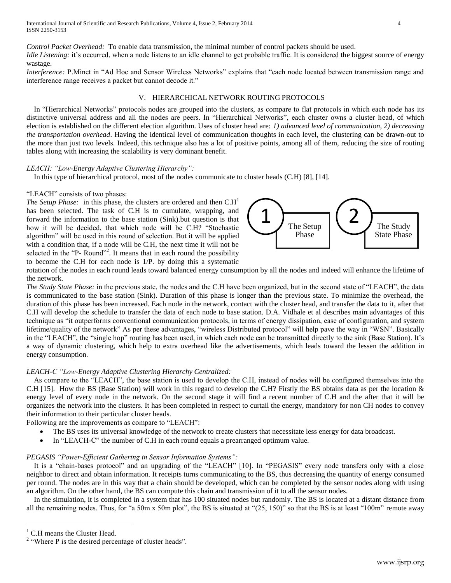*Control Packet Overhead:* To enable data transmission, the minimal number of control packets should be used. *Idle Listening:* it's occurred, when a node listens to an idle channel to get probable traffic. It is considered the biggest source of energy wastage.

*Interference:* P.Minet in "Ad Hoc and Sensor Wireless Networks" explains that "each node located between transmission range and interference range receives a packet but cannot decode it."

# V. HIERARCHICAL NETWORK ROUTING PROTOCOLS

 In "Hierarchical Networks" protocols nodes are grouped into the clusters, as compare to flat protocols in which each node has its distinctive universal address and all the nodes are peers. In "Hierarchical Networks", each cluster owns a cluster head, of which election is established on the different election algorithm. Uses of cluster head are: *1) advanced level of communication, 2) decreasing the transportation overhead*. Having the identical level of communication thoughts in each level, the clustering can be drawn-out to the more than just two levels. Indeed, this technique also has a lot of positive points, among all of them, reducing the size of routing tables along with increasing the scalability is very dominant benefit.

# *LEACH: "Low-Energy Adaptive Clustering Hierarchy":*

In this type of hierarchical protocol, most of the nodes communicate to cluster heads (C.H) [8], [14].

# "LEACH" consists of two phases:

*The Setup Phase:* in this phase, the clusters are ordered and then  $C.H<sup>1</sup>$ has been selected. The task of C.H is to cumulate, wrapping, and forward the information to the base station (Sink).but question is that how it will be decided, that which node will be C.H? "Stochastic algorithm" will be used in this round of selection. But it will be applied with a condition that, if a node will be C.H, the next time it will not be selected in the "P- Round"<sup>2</sup>. It means that in each round the possibility to become the C.H for each node is 1/P. by doing this a systematic



rotation of the nodes in each round leads toward balanced energy consumption by all the nodes and indeed will enhance the lifetime of the network.

*The Study State Phase:* in the previous state, the nodes and the C.H have been organized, but in the second state of "LEACH", the data is communicated to the base station (Sink). Duration of this phase is longer than the previous state. To minimize the overhead, the duration of this phase has been increased. Each node in the network, contact with the cluster head, and transfer the data to it, after that C.H will develop the schedule to transfer the data of each node to base station. D.A. Vidhale et al describes main advantages of this technique as "it outperforms conventional communication protocols, in terms of energy dissipation, ease of configuration, and system lifetime/quality of the network" As per these advantages, "wireless Distributed protocol" will help pave the way in "WSN". Basically in the "LEACH", the "single hop" routing has been used, in which each node can be transmitted directly to the sink (Base Station). It's a way of dynamic clustering, which help to extra overhead like the advertisements, which leads toward the lessen the addition in energy consumption.

# *LEACH-C "Low-Energy Adaptive Clustering Hierarchy Centralized:*

 As compare to the "LEACH", the base station is used to develop the C.H, instead of nodes will be configured themselves into the C.H [15]. How the BS (Base Station) will work in this regard to develop the C.H? Firstly the BS obtains data as per the location  $\&$ energy level of every node in the network. On the second stage it will find a recent number of C.H and the after that it will be organizes the network into the clusters. It has been completed in respect to curtail the energy, mandatory for non CH nodes to convey their information to their particular cluster heads.

Following are the improvements as compare to "LEACH":

- The BS uses its universal knowledge of the network to create clusters that necessitate less energy for data broadcast.
- In "LEACH-C" the number of C.H in each round equals a prearranged optimum value.

## *PEGASIS "Power-Efficient Gathering in Sensor Information Systems":*

 It is a "chain-bases protocol" and an upgrading of the "LEACH" [10]. In "PEGASIS" every node transfers only with a close neighbor to direct and obtain information. It receipts turns communicating to the BS, thus decreasing the quantity of energy consumed per round. The nodes are in this way that a chain should be developed, which can be completed by the sensor nodes along with using an algorithm. On the other hand, the BS can compute this chain and transmission of it to all the sensor nodes.

 In the simulation, it is completed in a system that has 100 situated nodes but randomly. The BS is located at a distant distance from all the remaining nodes. Thus, for "a 50m x 50m plot", the BS is situated at " $(25, 150)$ " so that the BS is at least "100m" remote away

 $\overline{a}$ 

<sup>&</sup>lt;sup>1</sup> C.H means the Cluster Head.

<sup>&</sup>lt;sup>2</sup> "Where P is the desired percentage of cluster heads".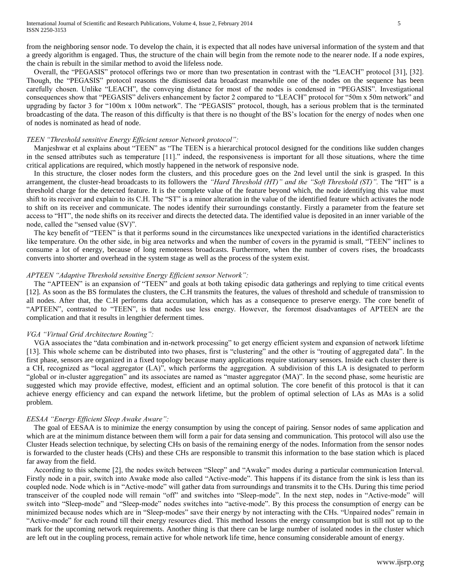from the neighboring sensor node. To develop the chain, it is expected that all nodes have universal information of the system and that a greedy algorithm is engaged. Thus, the structure of the chain will begin from the remote node to the nearer node. If a node expires, the chain is rebuilt in the similar method to avoid the lifeless node.

 Overall, the "PEGASIS" protocol offerings two or more than two presentation in contrast with the "LEACH" protocol [31], [32]. Though, the "PEGASIS" protocol reasons the dismissed data broadcast meanwhile one of the nodes on the sequence has been carefully chosen. Unlike "LEACH", the conveying distance for most of the nodes is condensed in "PEGASIS". Investigational consequences show that "PEGASIS" delivers enhancement by factor 2 compared to "LEACH" protocol for "50m x 50m network" and upgrading by factor 3 for "100m x 100m network". The "PEGASIS" protocol, though, has a serious problem that is the terminated broadcasting of the data. The reason of this difficulty is that there is no thought of the BS's location for the energy of nodes when one of nodes is nominated as head of node.

#### *TEEN "Threshold sensitive Energy Efficient sensor Network protocol":*

 Manjeshwar et al explains about "TEEN" as "The TEEN is a hierarchical protocol designed for the conditions like sudden changes in the sensed attributes such as temperature [11]." indeed, the responsiveness is important for all those situations, where the time critical applications are required, which mostly happened in the network of responsive node.

 In this structure, the closer nodes form the clusters, and this procedure goes on the 2nd level until the sink is grasped. In this arrangement, the cluster-head broadcasts to its followers the *"Hard Threshold (HT)" and the "Soft Threshold (ST)".* The "HT" is a threshold charge for the detected feature. It is the complete value of the feature beyond which, the node identifying this value must shift to its receiver and explain to its C.H. The "ST" is a minor alteration in the value of the identified feature which activates the node to shift on its receiver and communicate. The nodes identify their surroundings constantly. Firstly a parameter from the feature set access to "HT", the node shifts on its receiver and directs the detected data. The identified value is deposited in an inner variable of the node, called the "sensed value (SV)".

 The key benefit of "TEEN" is that it performs sound in the circumstances like unexpected variations in the identified characteristics like temperature. On the other side, in big area networks and when the number of covers in the pyramid is small, "TEEN" inclines to consume a lot of energy, because of long remoteness broadcasts. Furthermore, when the number of covers rises, the broadcasts converts into shorter and overhead in the system stage as well as the process of the system exist.

## *APTEEN "Adaptive Threshold sensitive Energy Efficient sensor Network":*

 The "APTEEN" is an expansion of "TEEN" and goals at both taking episodic data gatherings and replying to time critical events [12]. As soon as the BS formulates the clusters, the C.H transmits the features, the values of threshold and schedule of transmission to all nodes. After that, the C.H performs data accumulation, which has as a consequence to preserve energy. The core benefit of "APTEEN", contrasted to "TEEN", is that nodes use less energy. However, the foremost disadvantages of APTEEN are the complication and that it results in lengthier deferment times.

## *VGA "Virtual Grid Architecture Routing":*

 VGA associates the "data combination and in-network processing" to get energy efficient system and expansion of network lifetime [13]. This whole scheme can be distributed into two phases, first is "clustering" and the other is "routing of aggregated data". In the first phase, sensors are organized in a fixed topology because many applications require stationary sensors. Inside each cluster there is a CH, recognized as "local aggregator (LA)", which performs the aggregation. A subdivision of this LA is designated to perform "global or in-cluster aggregation" and its associates are named as "master aggregator (MA)". In the second phase, some heuristic are suggested which may provide effective, modest, efficient and an optimal solution. The core benefit of this protocol is that it can achieve energy efficiency and can expand the network lifetime, but the problem of optimal selection of LAs as MAs is a solid problem.

#### *EESAA "Energy Efficient Sleep Awake Aware":*

 The goal of EESAA is to minimize the energy consumption by using the concept of pairing. Sensor nodes of same application and which are at the minimum distance between them will form a pair for data sensing and communication. This protocol will also use the Cluster Heads selection technique, by selecting CHs on basis of the remaining energy of the nodes. Information from the sensor nodes is forwarded to the cluster heads (CHs) and these CHs are responsible to transmit this information to the base station which is placed far away from the field.

 According to this scheme [2], the nodes switch between "Sleep" and "Awake" modes during a particular communication Interval. Firstly node in a pair, switch into Awake mode also called "Active-mode". This happens if its distance from the sink is less than its coupled node. Node which is in "Active-mode" will gather data from surroundings and transmits it to the CHs. During this time period transceiver of the coupled node will remain "off" and switches into "Sleep-mode". In the next step, nodes in "Active-mode" will switch into "Sleep-mode" and "Sleep-mode" nodes switches into "active-mode". By this process the consumption of energy can be minimized because nodes which are in "Sleep-modes" save their energy by not interacting with the CHs. "Unpaired nodes" remain in "Active-mode" for each round till their energy resources died. This method lessons the energy consumption but is still not up to the mark for the upcoming network requirements. Another thing is that there can be large number of isolated nodes in the cluster which are left out in the coupling process, remain active for whole network life time, hence consuming considerable amount of energy.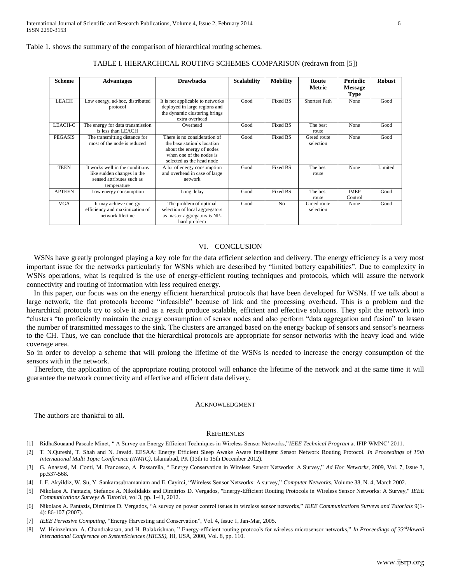Table 1. shows the summary of the comparison of hierarchical routing schemes.

| Scheme         | <b>Advantages</b>                                                                                         | <b>Drawbacks</b>                                                                                                                                  | <b>Scalability</b> | <b>Mobility</b> | Route                    | <b>Periodic</b>        | <b>Robust</b> |
|----------------|-----------------------------------------------------------------------------------------------------------|---------------------------------------------------------------------------------------------------------------------------------------------------|--------------------|-----------------|--------------------------|------------------------|---------------|
|                |                                                                                                           |                                                                                                                                                   |                    |                 | <b>Metric</b>            | <b>Message</b>         |               |
|                |                                                                                                           |                                                                                                                                                   |                    |                 |                          | <b>Type</b>            |               |
| <b>LEACH</b>   | Low energy, ad-hoc, distributed<br>protocol                                                               | It is not applicable to networks<br>deployed in large regions and<br>the dynamic clustering brings<br>extra overhead                              | Good               | <b>Fixed BS</b> | Shortest Path            | None                   | Good          |
| LEACH-C        | The energy for data transmission<br>is less than LEACH                                                    | Overhead                                                                                                                                          | Good               | <b>Fixed BS</b> | The best<br>route        | None                   | Good          |
| <b>PEGASIS</b> | The transmitting distance for<br>most of the node is reduced                                              | There is no consideration of<br>the base station's location<br>about the energy of nodes<br>when one of the nodes is<br>selected as the head node | Good               | Fixed BS        | Greed route<br>selection | None                   | Good          |
| <b>TEEN</b>    | It works well in the conditions<br>like sudden changes in the<br>sensed attributes such as<br>temperature | A lot of energy consumption<br>and overhead in case of large<br>network                                                                           | Good               | Fixed BS        | The best<br>route        | None                   | Limited       |
| <b>APTEEN</b>  | Low energy consumption                                                                                    | Long delay                                                                                                                                        | Good               | <b>Fixed BS</b> | The best<br>route        | <b>IMEP</b><br>Control | Good          |
| <b>VGA</b>     | It may achieve energy<br>efficiency and maximization of<br>network lifetime                               | The problem of optimal<br>selection of local aggregators<br>as master aggregators is NP-<br>hard problem                                          | Good               | N <sub>o</sub>  | Greed route<br>selection | None                   | Good          |

## TABLE I. HIERARCHICAL ROUTING SCHEMES COMPARISON (redrawn from [5])

#### VI. CONCLUSION

WSNs have greatly prolonged playing a key role for the data efficient selection and delivery. The energy efficiency is a very most important issue for the networks particularly for WSNs which are described by "limited battery capabilities". Due to complexity in WSNs operations, what is required is the use of energy-efficient routing techniques and protocols, which will assure the network connectivity and routing of information with less required energy.

 In this paper, our focus was on the energy efficient hierarchical protocols that have been developed for WSNs. If we talk about a large network, the flat protocols become "infeasible" because of link and the processing overhead. This is a problem and the hierarchical protocols try to solve it and as a result produce scalable, efficient and effective solutions. They split the network into "clusters "to proficiently maintain the energy consumption of sensor nodes and also perform "data aggregation and fusion" to lessen the number of transmitted messages to the sink. The clusters are arranged based on the energy backup of sensors and sensor's nearness to the CH. Thus, we can conclude that the hierarchical protocols are appropriate for sensor networks with the heavy load and wide coverage area.

So in order to develop a scheme that will prolong the lifetime of the WSNs is needed to increase the energy consumption of the sensors with in the network.

 Therefore, the application of the appropriate routing protocol will enhance the lifetime of the network and at the same time it will guarantee the network connectivity and effective and efficient data delivery.

#### ACKNOWLEDGMENT

The authors are thankful to all.

### **REFERENCES**

- [1] RidhaSouaand Pascale Minet, " A Survey on Energy Efficient Techniques in Wireless Sensor Networks,"*IEEE Technical Program* at IFIP WMNC' 2011.
- [2] T. N.Qureshi, T. Shah and N. Javaid. EESAA: Energy Efficient Sleep Awake Aware Intelligent Sensor Network Routing Protocol. *In Proceedings of 15th International Multi Topic Conference (INMIC),* Islamabad, PK (13th to 15th December 2012).
- [3] G. Anastasi, M. Conti, M. Francesco, A. Passarella, " Energy Conservation in Wireless Sensor Networks: A Survey," *Ad Hoc Networks*, 2009, Vol. 7, Issue 3, pp.537-568.
- [4] I. F. Akyildiz, W. Su, Y. Sankarasubramaniam and E. Cayirci, "Wireless Sensor Networks: A survey," *Computer Networks*, Volume 38, N. 4, March 2002.
- [5] Nikolaos A. Pantazis, Stefanos A. Nikolidakis and Dimitrios D. Vergados, "Energy-Efficient Routing Protocols in Wireless Sensor Networks: A Survey," *IEEE Communications Surveys & Tutorial,* vol 3, pp. 1-41, 2012.
- [6] Nikolaos A. Pantazis, [Dimitrios D. Vergados,](http://www.informatik.uni-trier.de/~ley/pers/hd/v/Vergados:Dimitrios_D=.html) "A survey on power control issues in wireless sensor networks," *[IEEE Communications Surveys and Tutorials](http://www.informatik.uni-trier.de/~ley/db/journals/comsur/comsur9.html#PantazisV07)* 9(1- 4): 86-107 (2007).
- [7] *IEEE Pervasive Computing*, "Energy Harvesting and Conservation", Vol. 4, Issue 1, Jan-Mar, 2005.
- [8] W. Heinzelman, A. Chandrakasan, and H. Balakrishnan, " Energy-efficient routing protocols for wireless microsensor networks," *In Proceedings of 33rdHawaii International Conference on SystemSciences (HICSS),* HI, USA, 2000, Vol. 8, pp. 110.